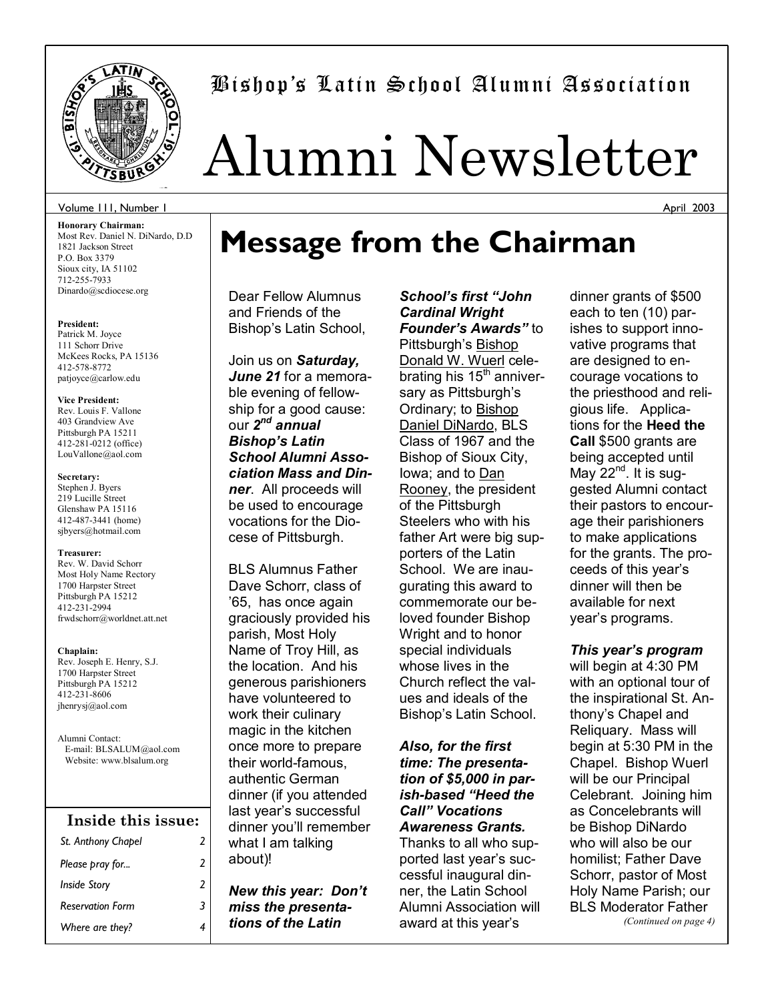

# Bishopís Latin School Alumni Association

# Alumni Newsletter

### Volume 111, Number 1

**Honorary Chairman:**  Most Rev. Daniel N. DiNardo, D.D 1821 Jackson Street P.O. Box 3379 Sioux city, IA 51102 712-255-7933 Dinardo@scdiocese.org

#### **President:**

Patrick M. Joyce 111 Schorr Drive McKees Rocks, PA 15136 412-578-8772 patjoyce@carlow.edu

#### **Vice President:**

Rev. Louis F. Vallone 403 Grandview Ave Pittsburgh PA 15211 412-281-0212 (office) LouVallone@aol.com

#### **Secretary:**

Stephen J. Byers 219 Lucille Street Glenshaw PA 15116 412-487-3441 (home) sjbyers@hotmail.com

#### **Treasurer:**

Rev. W. David Schorr Most Holy Name Rectory 1700 Harpster Street Pittsburgh PA 15212 412-231-2994 frwdschorr@worldnet.att.net

#### **Chaplain:**

Rev. Joseph E. Henry, S.J. 1700 Harpster Street Pittsburgh PA 15212 412-231-8606 jhenrysj@aol.com

Alumni Contact: E-mail: BLSALUM@aol.com Website: www.blsalum.org

## *St. Anthony Chapel 2 Please pray for... 2 Inside Story 2 Reservation Form 3 Where are they? 4*  **Inside this issue:**

# **Message from the Chairman**

Dear Fellow Alumnus and Friends of the Bishop's Latin School,

Join us on *Saturday, June 21* for a memorable evening of fellowship for a good cause: our *2nd annual Bishopís Latin School Alumni Association Mass and Dinner*. All proceeds will be used to encourage vocations for the Diocese of Pittsburgh.

BLS Alumnus Father Dave Schorr, class of í65, has once again graciously provided his parish, Most Holy Name of Troy Hill, as the location. And his generous parishioners have volunteered to work their culinary magic in the kitchen once more to prepare their world-famous, authentic German dinner (if you attended last year's successful dinner you'll remember what I am talking about)!

*New this year: Donít miss the presentations of the Latin* 

School's first "John *Cardinal Wright Founder's Awards"* to Pittsburgh's Bishop Donald W. Wuerl celebrating his  $15<sup>th</sup>$  anniversary as Pittsburgh's Ordinary; to Bishop Daniel DiNardo, BLS Class of 1967 and the Bishop of Sioux City, Iowa; and to Dan Rooney, the president of the Pittsburgh Steelers who with his father Art were big supporters of the Latin School. We are inaugurating this award to commemorate our beloved founder Bishop Wright and to honor special individuals whose lives in the Church reflect the values and ideals of the Bishop's Latin School.

*Also, for the first time: The presentation of \$5,000 in parish-based "Heed the Callî Vocations Awareness Grants.*  Thanks to all who supported last year's successful inaugural dinner, the Latin School Alumni Association will award at this year's

dinner grants of \$500 each to ten (10) parishes to support innovative programs that are designed to encourage vocations to the priesthood and religious life. Applications for the **Heed the Call** \$500 grants are being accepted until May  $22^{nd}$ . It is suggested Alumni contact their pastors to encourage their parishioners to make applications for the grants. The proceeds of this year's dinner will then be available for next year's programs.

*This yearís program* will begin at 4:30 PM with an optional tour of the inspirational St. Anthonyís Chapel and Reliquary. Mass will begin at 5:30 PM in the Chapel. Bishop Wuerl will be our Principal Celebrant. Joining him as Concelebrants will be Bishop DiNardo who will also be our homilist; Father Dave Schorr, pastor of Most Holy Name Parish; our BLS Moderator Father *(Continued on page 4)* 

April 2003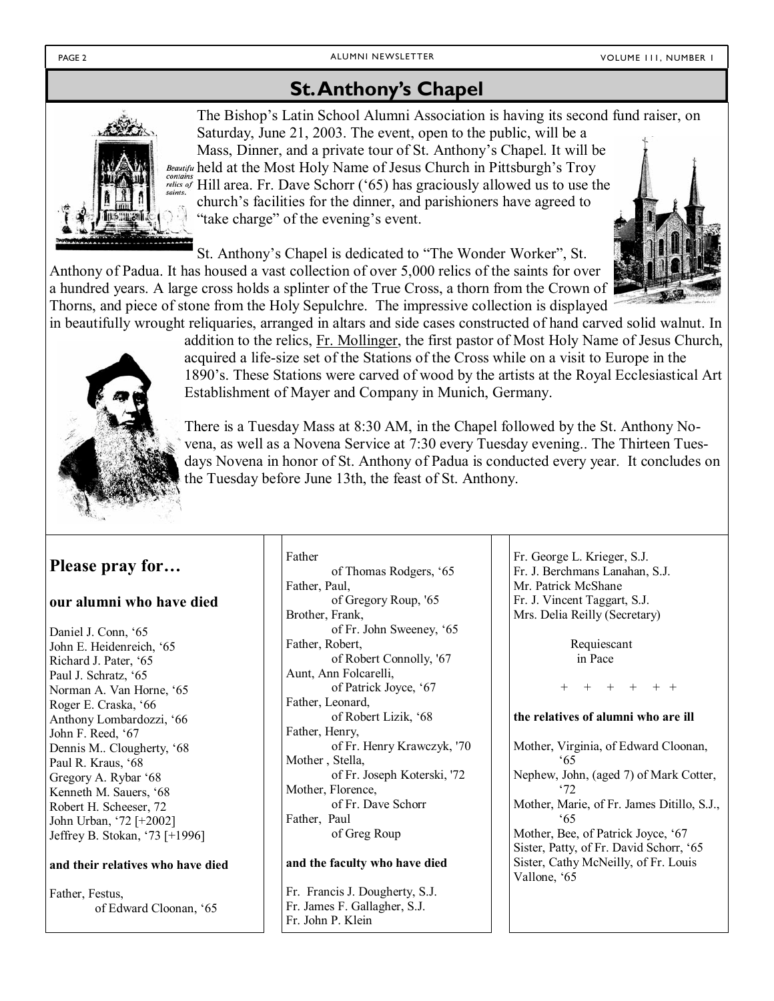# **St. Anthony's Chapel**



The Bishop's Latin School Alumni Association is having its second fund raiser, on Saturday, June 21, 2003. The event, open to the public, will be a Mass, Dinner, and a private tour of St. Anthony's Chapel. It will be Beautifu held at the Most Holy Name of Jesus Church in Pittsburgh's Troy relies of Hill area. Fr. Dave Schorr ('65) has graciously allowed us to use the church's facilities for the dinner, and parishioners have agreed to "take charge" of the evening's event.

St. Anthony's Chapel is dedicated to "The Wonder Worker", St. Anthony of Padua. It has housed a vast collection of over 5,000 relics of the saints for over a hundred years. A large cross holds a splinter of the True Cross, a thorn from the Crown of Thorns, and piece of stone from the Holy Sepulchre. The impressive collection is displayed in beautifully wrought reliquaries, arranged in altars and side cases constructed of hand carved solid walnut. In





addition to the relics, Fr. Mollinger, the first pastor of Most Holy Name of Jesus Church, acquired a life-size set of the Stations of the Cross while on a visit to Europe in the 1890's. These Stations were carved of wood by the artists at the Royal Ecclesiastical Art Establishment of Mayer and Company in Munich, Germany.

There is a Tuesday Mass at 8:30 AM, in the Chapel followed by the St. Anthony Novena, as well as a Novena Service at 7:30 every Tuesday evening.. The Thirteen Tuesdays Novena in honor of St. Anthony of Padua is conducted every year. It concludes on the Tuesday before June 13th, the feast of St. Anthony.

## Please pray for...

## our alumni who have died

Daniel J. Conn, '65 John E. Heidenreich, '65 Richard J. Pater, '65 Paul J. Schratz, '65 Norman A. Van Horne, '65 Roger E. Craska, '66 Anthony Lombardozzi, '66 John F. Reed, '67 Dennis M. Clougherty, '68 Paul R. Kraus, '68 Gregory A. Rybar '68 Kenneth M. Sauers, '68 Robert H. Scheeser, 72 John Urban, '72 [+2002] Jeffrey B. Stokan, '73 [+1996]

## and their relatives who have died

Father, Festus. of Edward Cloonan, '65 Father of Thomas Rodgers, '65 Father, Paul, of Gregory Roup, '65 Brother, Frank, of Fr. John Sweeney, '65 Father, Robert, of Robert Connolly, '67 Aunt, Ann Folcarelli, of Patrick Joyce, '67 Father, Leonard, of Robert Lizik, '68 Father, Henry, of Fr. Henry Krawczyk, '70 Mother, Stella, of Fr. Joseph Koterski, '72 Mother, Florence, of Fr. Dave Schorr Father, Paul of Greg Roup

## and the faculty who have died

Fr. Francis J. Dougherty, S.J. Fr. James F. Gallagher, S.J. Fr. John P. Klein

Fr. George L. Krieger, S.J. Fr. J. Berchmans Lanahan, S.J. Mr. Patrick McShane Fr. J. Vincent Taggart, S.J. Mrs. Delia Reilly (Secretary)

> Requiescant in Pace

## the relatives of alumni who are ill

Mother, Virginia, of Edward Cloonan, '65 Nephew, John, (aged 7) of Mark Cotter,  $2^{\circ}$ Mother, Marie, of Fr. James Ditillo, S.J.,  $65$ Mother, Bee, of Patrick Joyce, '67 Sister, Patty, of Fr. David Schorr, '65 Sister, Cathy McNeilly, of Fr. Louis Vallone, '65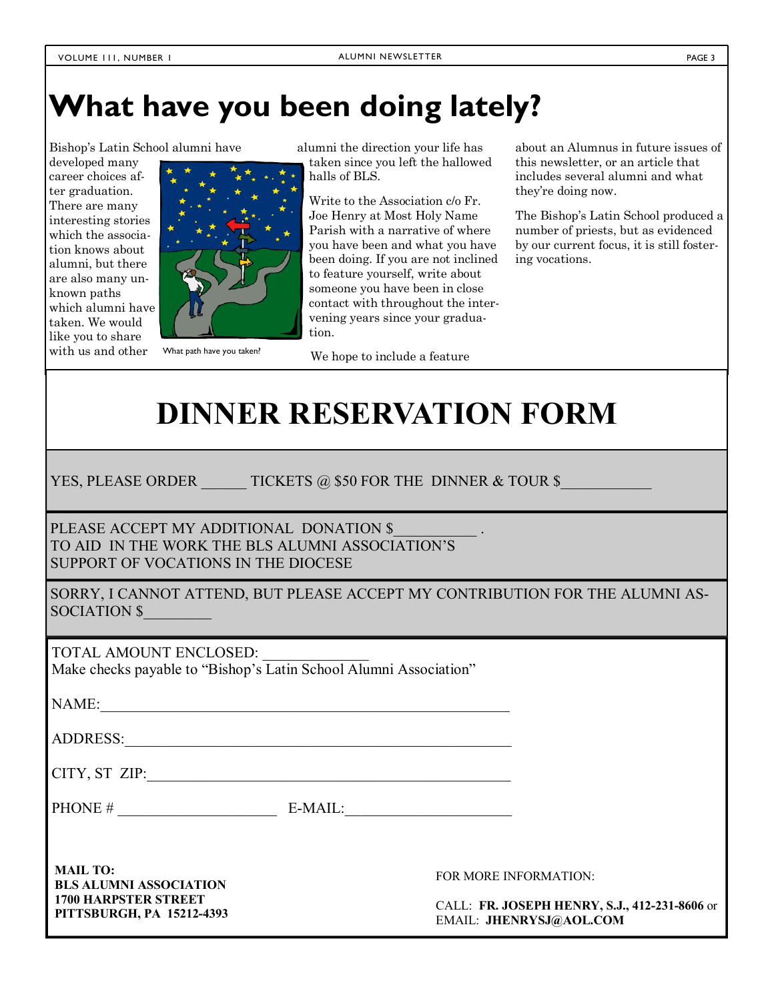# **What have you been doing lately?**

Bishopís Latin School alumni have

developed many career choices after graduation. There are many interesting stories which the association knows about alumni, but there are also many unknown paths which alumni have taken. We would like you to share with us and other



What path have you taken?

alumni the direction your life has taken since you left the hallowed halls of BLS.

Write to the Association c/o Fr. Joe Henry at Most Holy Name Parish with a narrative of where you have been and what you have been doing. If you are not inclined to feature yourself, write about someone you have been in close contact with throughout the intervening years since your graduation.

We hope to include a feature

about an Alumnus in future issues of this newsletter, or an article that includes several alumni and what they're doing now.

The Bishop's Latin School produced a number of priests, but as evidenced by our current focus, it is still fostering vocations.

# **DINNER RESERVATION FORM**

YES, PLEASE ORDER TICKETS @ \$50 FOR THE DINNER & TOUR \$

PLEASE ACCEPT MY ADDITIONAL DONATION \$ TO AID IN THE WORK THE BLS ALUMNI ASSOCIATION'S SUPPORT OF VOCATIONS IN THE DIOCESE

SORRY, I CANNOT ATTEND, BUT PLEASE ACCEPT MY CONTRIBUTION FOR THE ALUMNI AS-SOCIATION \$

TOTAL AMOUNT ENCLOSED:

Make checks payable to "Bishop's Latin School Alumni Association"

NAME:

ADDRESS:\_\_\_\_\_\_\_\_\_\_\_\_\_\_\_\_\_\_\_\_\_\_\_\_\_\_\_\_\_\_\_\_\_\_\_\_\_\_\_\_\_\_\_\_\_\_\_\_\_\_\_

CITY, ST ZIP:\_\_\_\_\_\_\_\_\_\_\_\_\_\_\_\_\_\_\_\_\_\_\_\_\_\_\_\_\_\_\_\_\_\_\_\_\_\_\_\_\_\_\_\_\_\_\_\_

PHONE #  $E\text{-} \text{MAIL}:$ 

**MAIL TO: BLS ALUMNI ASSOCIATION 1700 HARPSTER STREET PITTSBURGH, PA 15212-4393** 

FOR MORE INFORMATION:

CALL: **FR. JOSEPH HENRY, S.J., 412-231-8606** or EMAIL: **JHENRYSJ@AOL.COM**